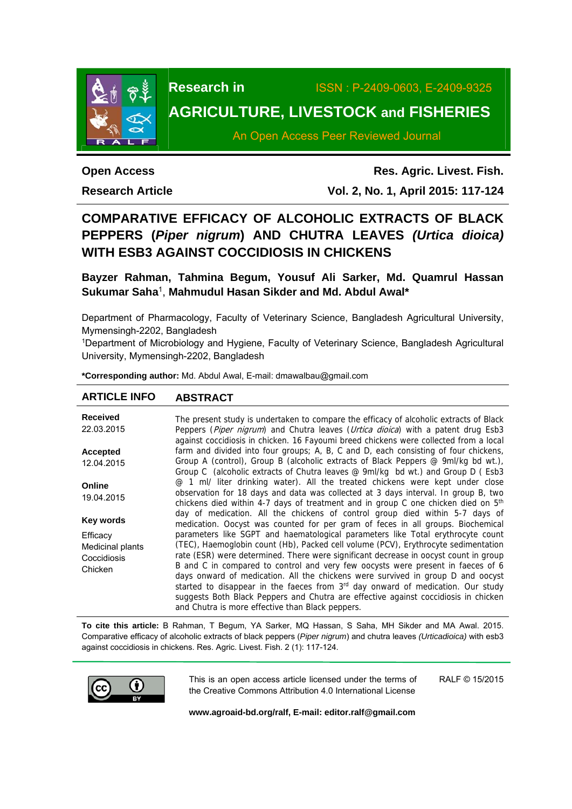

# **Research in** ISSN : P-2409-0603, E-2409-9325 **AGRICULTURE, LIVESTOCK and FISHERIES**

An Open Access Peer Reviewed Journal

**Open Access** 

**Research Article** 

**Res. Agric. Livest. Fish. Vol. 2, No. 1, April 2015: 117-124**

## **COMPARATIVE EFFICACY OF ALCOHOLIC EXTRACTS OF BLACK PEPPERS (***Piper nigrum***) AND CHUTRA LEAVES** *(Urtica dioica)* **WITH ESB3 AGAINST COCCIDIOSIS IN CHICKENS**

**Bayzer Rahman, Tahmina Begum, Yousuf Ali Sarker, Md. Quamrul Hassan Sukumar Saha**1, **Mahmudul Hasan Sikder and Md. Abdul Awal\*** 

Department of Pharmacology, Faculty of Veterinary Science, Bangladesh Agricultural University, Mymensingh-2202, Bangladesh

<sup>1</sup>Department of Microbiology and Hygiene, Faculty of Veterinary Science, Bangladesh Agricultural University, Mymensingh-2202, Bangladesh

**\*Corresponding author:** Md. Abdul Awal, E-mail: dmawalbau@gmail.com

## **ARTICLE INFO ABSTRACT**

| <b>Received</b><br>22.03.2015                          | The present study is undertaken to compare the efficacy of alcoholic extracts of Black<br>Peppers (Piper nigrum) and Chutra leaves (Urtica dioica) with a patent drug Esb3<br>against coccidiosis in chicken. 16 Fayoumi breed chickens were collected from a local                                                                                                                                                                                                                                                                                                                                                       |
|--------------------------------------------------------|---------------------------------------------------------------------------------------------------------------------------------------------------------------------------------------------------------------------------------------------------------------------------------------------------------------------------------------------------------------------------------------------------------------------------------------------------------------------------------------------------------------------------------------------------------------------------------------------------------------------------|
| <b>Accepted</b>                                        | farm and divided into four groups; A, B, C and D, each consisting of four chickens,                                                                                                                                                                                                                                                                                                                                                                                                                                                                                                                                       |
| 12.04.2015                                             | Group A (control), Group B (alcoholic extracts of Black Peppers @ 9ml/kg bd wt.),<br>Group C (alcoholic extracts of Chutra leaves @ 9ml/kg bd wt.) and Group D (Esb3                                                                                                                                                                                                                                                                                                                                                                                                                                                      |
| Online<br>19.04.2015                                   | @ 1 ml/ liter drinking water). All the treated chickens were kept under close<br>observation for 18 days and data was collected at 3 days interval. In group B, two<br>chickens died within 4-7 days of treatment and in group C one chicken died on 5 <sup>th</sup>                                                                                                                                                                                                                                                                                                                                                      |
| Key words                                              | day of medication. All the chickens of control group died within 5-7 days of<br>medication. Oocyst was counted for per gram of feces in all groups. Biochemical                                                                                                                                                                                                                                                                                                                                                                                                                                                           |
| Efficacy<br>Medicinal plants<br>Coccidiosis<br>Chicken | parameters like SGPT and haematological parameters like Total erythrocyte count<br>(TEC), Haemoglobin count (Hb), Packed cell volume (PCV), Erythrocyte sedimentation<br>rate (ESR) were determined. There were significant decrease in oocyst count in group<br>B and C in compared to control and very few oocysts were present in faeces of 6<br>days onward of medication. All the chickens were survived in group D and oocyst<br>started to disappear in the faeces from 3 <sup>rd</sup> day onward of medication. Our study<br>suggests Both Black Peppers and Chutra are effective against coccidiosis in chicken |
|                                                        | and Chutra is more effective than Black peppers.                                                                                                                                                                                                                                                                                                                                                                                                                                                                                                                                                                          |

**To cite this article:** B Rahman, T Begum, YA Sarker, MQ Hassan, S Saha, MH Sikder and MA Awal. 2015. Comparative efficacy of alcoholic extracts of black peppers (*Piper nigrum*) and chutra leaves *(Urticadioica)* with esb3 against coccidiosis in chickens. Res. Agric. Livest. Fish. 2 (1): 117-124.



This is an open access article licensed under the terms of the Creative Commons Attribution 4.0 International License RALF © 15/2015

**www.agroaid-bd.org/ralf, E-mail: editor.ralf@gmail.com**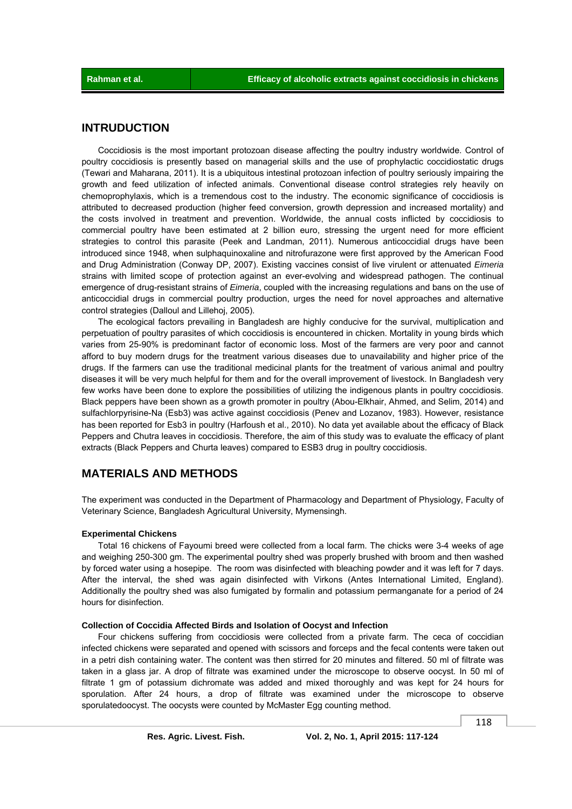## **INTRUDUCTION**

 Coccidiosis is the most important protozoan disease affecting the poultry industry worldwide. Control of poultry coccidiosis is presently based on managerial skills and the use of prophylactic coccidiostatic drugs (Tewari and Maharana, 2011). It is a ubiquitous intestinal protozoan infection of poultry seriously impairing the growth and feed utilization of infected animals. Conventional disease control strategies rely heavily on chemoprophylaxis, which is a tremendous cost to the industry. The economic significance of coccidiosis is attributed to decreased production (higher feed conversion, growth depression and increased mortality) and the costs involved in treatment and prevention. Worldwide, the annual costs inflicted by coccidiosis to commercial poultry have been estimated at 2 billion euro, stressing the urgent need for more efficient strategies to control this parasite (Peek and Landman, 2011). Numerous anticoccidial drugs have been introduced since 1948, when sulphaquinoxaline and nitrofurazone were first approved by the American Food and Drug Administration (Conway DP, 2007). Existing vaccines consist of live virulent or attenuated *Eimeria* strains with limited scope of protection against an ever-evolving and widespread pathogen. The continual emergence of drug-resistant strains of *Eimeria*, coupled with the increasing regulations and bans on the use of anticoccidial drugs in commercial poultry production, urges the need for novel approaches and alternative control strategies (Dalloul and Lillehoj, 2005).

 The ecological factors prevailing in Bangladesh are highly conducive for the survival, multiplication and perpetuation of poultry parasites of which coccidiosis is encountered in chicken. Mortality in young birds which varies from 25-90% is predominant factor of economic loss. Most of the farmers are very poor and cannot afford to buy modern drugs for the treatment various diseases due to unavailability and higher price of the drugs. If the farmers can use the traditional medicinal plants for the treatment of various animal and poultry diseases it will be very much helpful for them and for the overall improvement of livestock. In Bangladesh very few works have been done to explore the possibilities of utilizing the indigenous plants in poultry coccidiosis. Black peppers have been shown as a growth promoter in poultry (Abou-Elkhair, Ahmed, and Selim, 2014) and sulfachlorpyrisine-Na (Esb3) was active against coccidiosis (Penev and Lozanov, 1983). However, resistance has been reported for Esb3 in poultry (Harfoush et al., 2010). No data yet available about the efficacy of Black Peppers and Chutra leaves in coccidiosis. Therefore, the aim of this study was to evaluate the efficacy of plant extracts (Black Peppers and Churta leaves) compared to ESB3 drug in poultry coccidiosis.

## **MATERIALS AND METHODS**

The experiment was conducted in the Department of Pharmacology and Department of Physiology, Faculty of Veterinary Science, Bangladesh Agricultural University, Mymensingh.

### **Experimental Chickens**

 Total 16 chickens of Fayoumi breed were collected from a local farm. The chicks were 3-4 weeks of age and weighing 250-300 gm. The experimental poultry shed was properly brushed with broom and then washed by forced water using a hosepipe. The room was disinfected with bleaching powder and it was left for 7 days. After the interval, the shed was again disinfected with Virkons (Antes International Limited, England). Additionally the poultry shed was also fumigated by formalin and potassium permanganate for a period of 24 hours for disinfection.

## **Collection of Coccidia Affected Birds and Isolation of Oocyst and Infection**

 Four chickens suffering from coccidiosis were collected from a private farm. The ceca of coccidian infected chickens were separated and opened with scissors and forceps and the fecal contents were taken out in a petri dish containing water. The content was then stirred for 20 minutes and filtered. 50 ml of filtrate was taken in a glass jar. A drop of filtrate was examined under the microscope to observe oocyst. In 50 ml of filtrate 1 gm of potassium dichromate was added and mixed thoroughly and was kept for 24 hours for sporulation. After 24 hours, a drop of filtrate was examined under the microscope to observe sporulatedoocyst. The oocysts were counted by McMaster Egg counting method.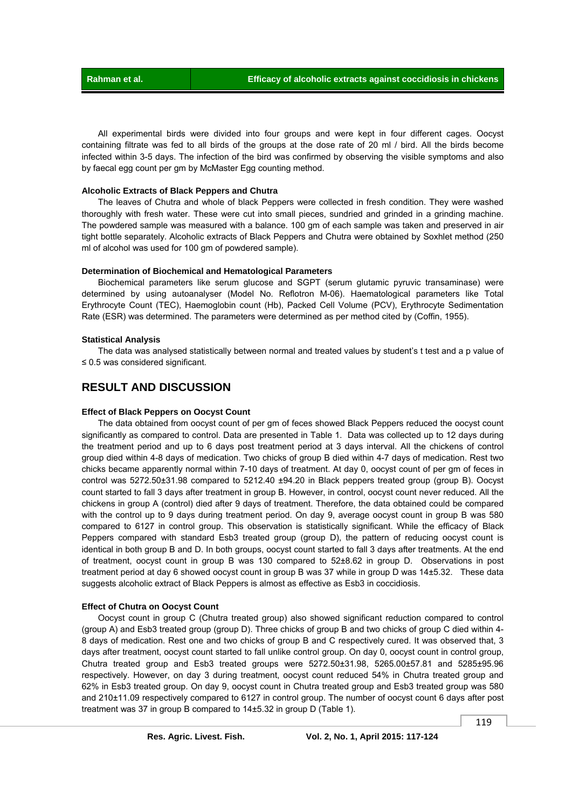All experimental birds were divided into four groups and were kept in four different cages. Oocyst containing filtrate was fed to all birds of the groups at the dose rate of 20 ml / bird. All the birds become infected within 3-5 days. The infection of the bird was confirmed by observing the visible symptoms and also by faecal egg count per gm by McMaster Egg counting method.

#### **Alcoholic Extracts of Black Peppers and Chutra**

 The leaves of Chutra and whole of black Peppers were collected in fresh condition. They were washed thoroughly with fresh water. These were cut into small pieces, sundried and grinded in a grinding machine. The powdered sample was measured with a balance. 100 gm of each sample was taken and preserved in air tight bottle separately. Alcoholic extracts of Black Peppers and Chutra were obtained by Soxhlet method (250 ml of alcohol was used for 100 gm of powdered sample).

## **Determination of Biochemical and Hematological Parameters**

 Biochemical parameters like serum glucose and SGPT (serum glutamic pyruvic transaminase) were determined by using autoanalyser (Model No. Reflotron M-06). Haematological parameters like Total Erythrocyte Count (TEC), Haemoglobin count (Hb), Packed Cell Volume (PCV), Erythrocyte Sedimentation Rate (ESR) was determined. The parameters were determined as per method cited by (Coffin, 1955).

#### **Statistical Analysis**

 The data was analysed statistically between normal and treated values by student's t test and a p value of ≤ 0.5 was considered significant.

## **RESULT AND DISCUSSION**

#### **Effect of Black Peppers on Oocyst Count**

 The data obtained from oocyst count of per gm of feces showed Black Peppers reduced the oocyst count significantly as compared to control. Data are presented in Table 1. Data was collected up to 12 days during the treatment period and up to 6 days post treatment period at 3 days interval. All the chickens of control group died within 4-8 days of medication. Two chicks of group B died within 4-7 days of medication. Rest two chicks became apparently normal within 7-10 days of treatment. At day 0, oocyst count of per gm of feces in control was 5272.50±31.98 compared to 5212.40 ±94.20 in Black peppers treated group (group B). Oocyst count started to fall 3 days after treatment in group B. However, in control, oocyst count never reduced. All the chickens in group A (control) died after 9 days of treatment. Therefore, the data obtained could be compared with the control up to 9 days during treatment period. On day 9, average oocyst count in group B was 580 compared to 6127 in control group. This observation is statistically significant. While the efficacy of Black Peppers compared with standard Esb3 treated group (group D), the pattern of reducing oocyst count is identical in both group B and D. In both groups, oocyst count started to fall 3 days after treatments. At the end of treatment, oocyst count in group B was 130 compared to 52±8.62 in group D. Observations in post treatment period at day 6 showed oocyst count in group B was 37 while in group D was 14±5.32. These data suggests alcoholic extract of Black Peppers is almost as effective as Esb3 in coccidiosis.

#### **Effect of Chutra on Oocyst Count**

 Oocyst count in group C (Chutra treated group) also showed significant reduction compared to control (group A) and Esb3 treated group (group D). Three chicks of group B and two chicks of group C died within 4- 8 days of medication. Rest one and two chicks of group B and C respectively cured. It was observed that, 3 days after treatment, oocyst count started to fall unlike control group. On day 0, oocyst count in control group, Chutra treated group and Esb3 treated groups were 5272.50±31.98, 5265.00±57.81 and 5285±95.96 respectively. However, on day 3 during treatment, oocyst count reduced 54% in Chutra treated group and 62% in Esb3 treated group. On day 9, oocyst count in Chutra treated group and Esb3 treated group was 580 and 210±11.09 respectively compared to 6127 in control group. The number of oocyst count 6 days after post treatment was 37 in group B compared to 14±5.32 in group D (Table 1).

119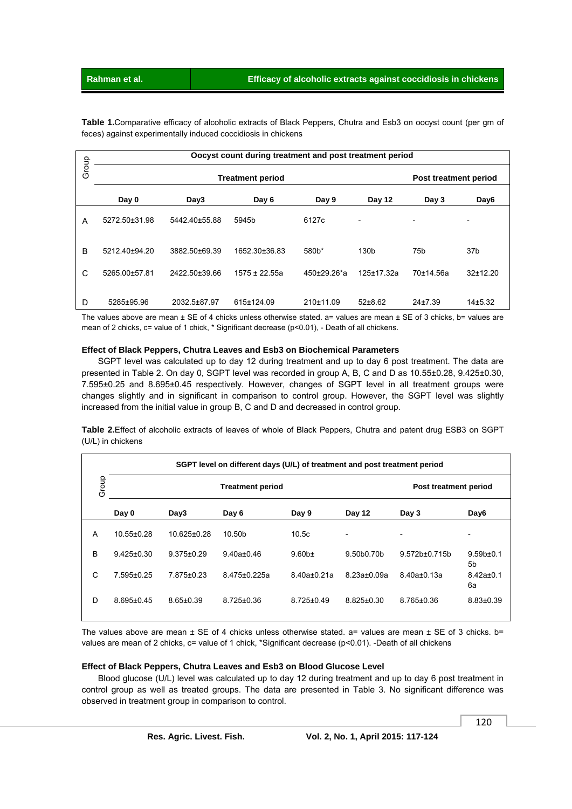**Table 1.**Comparative efficacy of alcoholic extracts of Black Peppers, Chutra and Esb3 on oocyst count (per gm of feces) against experimentally induced coccidiosis in chickens

|       | Oocyst count during treatment and post treatment period |               |                       |                    |                          |             |                              |  |
|-------|---------------------------------------------------------|---------------|-----------------------|--------------------|--------------------------|-------------|------------------------------|--|
| Group |                                                         |               | Post treatment period |                    |                          |             |                              |  |
|       | Day 0                                                   | Day3          | Day 6                 | Day 9              | Day 12                   | Day 3       | Day <sub>6</sub>             |  |
| A     | 5272.50±31.98                                           | 5442.40±55.88 | 5945b                 | 6127c              | $\overline{\phantom{0}}$ | -           | $\qquad \qquad \blacksquare$ |  |
| B     | 5212.40±94.20                                           | 3882.50±69.39 | 1652.30±36.83         | 580 <sub>b</sub> * | 130 <sub>b</sub>         | 75b         | 37 <sub>b</sub>              |  |
| C     | 5265.00±57.81                                           | 2422.50±39.66 | $1575 \pm 22.55a$     | 450±29.26*a        | 125±17.32a               | 70±14.56a   | 32±12.20                     |  |
| D     | 5285±95.96                                              | 2032.5±87.97  | 615±124.09            | 210±11.09          | $52+8.62$                | $24\pm7.39$ | 14±5.32                      |  |

## **Effect of Black Peppers, Chutra Leaves and Esb3 on Biochemical Parameters**

|       | Oocyst count during treatment and post treatment period |                 |                                                                                                                                                                                                                                                                                                                                                                                                                                                                                                                                        |                   |                  |                       |                       |  |  |
|-------|---------------------------------------------------------|-----------------|----------------------------------------------------------------------------------------------------------------------------------------------------------------------------------------------------------------------------------------------------------------------------------------------------------------------------------------------------------------------------------------------------------------------------------------------------------------------------------------------------------------------------------------|-------------------|------------------|-----------------------|-----------------------|--|--|
| Group | <b>Treatment period</b><br>Post treatment period        |                 |                                                                                                                                                                                                                                                                                                                                                                                                                                                                                                                                        |                   |                  |                       |                       |  |  |
|       | Day 0                                                   | Day3            | Day 6                                                                                                                                                                                                                                                                                                                                                                                                                                                                                                                                  | Day 9             | Day 12           | Day 3                 | Day6                  |  |  |
| Α     | 5272.50±31.98                                           | 5442.40±55.88   | 5945b                                                                                                                                                                                                                                                                                                                                                                                                                                                                                                                                  | 6127c             |                  |                       |                       |  |  |
| B     | 5212.40±94.20                                           | 3882.50±69.39   | 1652.30±36.83                                                                                                                                                                                                                                                                                                                                                                                                                                                                                                                          | 580b*             | 130b             | 75b                   | 37b                   |  |  |
| С     | 5265.00±57.81                                           | 2422.50±39.66   | $1575 \pm 22.55a$                                                                                                                                                                                                                                                                                                                                                                                                                                                                                                                      | 450±29.26*a       | 125±17.32a       | 70±14.56a             | 32±12.20              |  |  |
| D     | 5285±95.96                                              | 2032.5±87.97    | 615±124.09                                                                                                                                                                                                                                                                                                                                                                                                                                                                                                                             | 210±11.09         | 52±8.62          | 24±7.39               | 14±5.32               |  |  |
|       | (U/L) in chickens                                       |                 | presented in Table 2. On day 0, SGPT level was recorded in group A, B, C and D as 10.55±0.28, 9.425±0.30,<br>7.595±0.25 and 8.695±0.45 respectively. However, changes of SGPT level in all treatment groups were<br>changes slightly and in significant in comparison to control group. However, the SGPT level was slightly<br>increased from the initial value in group B, C and D and decreased in control group.<br>Table 2. Effect of alcoholic extracts of leaves of whole of Black Peppers, Chutra and patent drug ESB3 on SGPT |                   |                  |                       |                       |  |  |
|       |                                                         |                 | SGPT level on different days (U/L) of treatment and post treatment period                                                                                                                                                                                                                                                                                                                                                                                                                                                              |                   |                  |                       |                       |  |  |
|       | Group                                                   |                 | <b>Treatment period</b>                                                                                                                                                                                                                                                                                                                                                                                                                                                                                                                |                   |                  | Post treatment period |                       |  |  |
|       | Day 0                                                   | Day3            | Day 6                                                                                                                                                                                                                                                                                                                                                                                                                                                                                                                                  | Day 9             | Day 12           | Day 3                 | Day6                  |  |  |
| Α     |                                                         |                 | 10.50b                                                                                                                                                                                                                                                                                                                                                                                                                                                                                                                                 | 10.5c             |                  |                       |                       |  |  |
|       | 10.55±0.28                                              | 10.625±0.28     |                                                                                                                                                                                                                                                                                                                                                                                                                                                                                                                                        |                   |                  |                       |                       |  |  |
| B     | $9.425 \pm 0.30$                                        | 9.375±0.29      | $9.40a \pm 0.46$                                                                                                                                                                                                                                                                                                                                                                                                                                                                                                                       | 9.60 <sub>b</sub> | 9.50b0.70b       | 9.572b±0.715b         | 9.59 <sub>b±0.1</sub> |  |  |
| С     | 7.595±0.25                                              | 7.875±0.23      | 8.475±0.225a                                                                                                                                                                                                                                                                                                                                                                                                                                                                                                                           | 8.40a±0.21a       | 8.23a±0.09a      | 8.40a±0.13a           | 5b<br>8.42a±0.1<br>6а |  |  |
| D     | $8.695 \pm 0.45$                                        | $8.65 \pm 0.39$ | $8.725 \pm 0.36$                                                                                                                                                                                                                                                                                                                                                                                                                                                                                                                       | $8.725 \pm 0.49$  | $8.825 \pm 0.30$ | $8.765 \pm 0.36$      | $8.83{\pm}0.39$       |  |  |

## **Effect of Black Peppers, Chutra Leaves and Esb3 on Blood Glucose Level**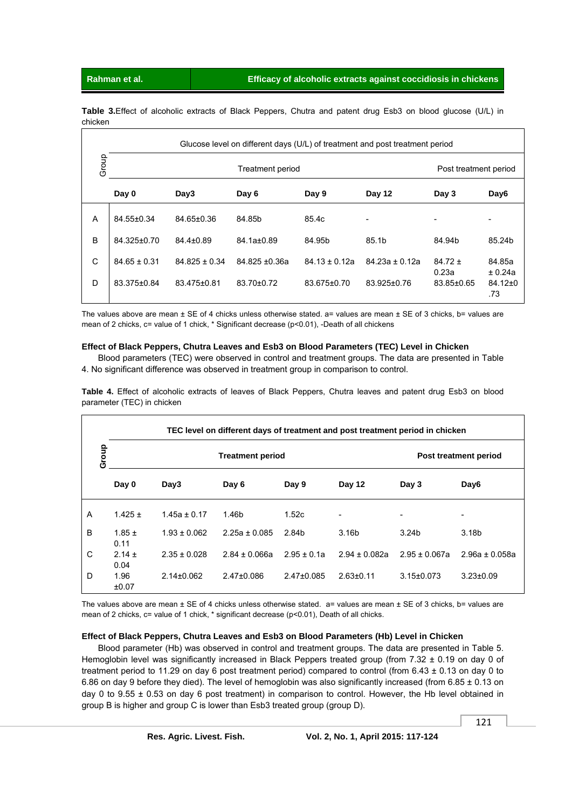**Table 3.**Effect of alcoholic extracts of Black Peppers, Chutra and patent drug Esb3 on blood glucose (U/L) in chicken

| Glucose level on different days (U/L) of treatment and post treatment period |                  |                       |                  |                   |                          |                     |                                 |
|------------------------------------------------------------------------------|------------------|-----------------------|------------------|-------------------|--------------------------|---------------------|---------------------------------|
| Group                                                                        |                  | Post treatment period |                  |                   |                          |                     |                                 |
|                                                                              | Day 0            | Day3                  | Day 6            | Day 9             | Day 12                   | Day 3               | Day <sub>6</sub>                |
| A                                                                            | 84.55±0.34       | 84.65±0.36            | 84.85b           | 85.4c             | $\overline{\phantom{a}}$ |                     |                                 |
| B                                                                            | 84.325±0.70      | $84.4 \pm 0.89$       | 84.1a±0.89       | 84.95b            | 85.1 <sub>b</sub>        | 84.94b              | 85.24b                          |
| C                                                                            | $84.65 \pm 0.31$ | $84.825 \pm 0.34$     | $84.825 + 0.36a$ | $84.13 \pm 0.12a$ | $84.23a \pm 0.12a$       | $84.72 \pm$         | 84.85a                          |
| D                                                                            | 83.375±0.84      | 83.475±0.81           | 83.70±0.72       | 83.675±0.70       | 83.925±0.76              | 0.23a<br>83.85±0.65 | ± 0.24a<br>$84.12 \pm 0$<br>.73 |

The values above are mean  $\pm$  SE of 4 chicks unless otherwise stated. a= values are mean  $\pm$  SE of 3 chicks, b= values are mean of 2 chicks, c= value of 1 chick, \* Significant decrease (p<0.01), -Death of all chickens

## **Effect of Black Peppers, Chutra Leaves and Esb3 on Blood Parameters (TEC) Level in Chicken**

 Blood parameters (TEC) were observed in control and treatment groups. The data are presented in Table 4. No significant difference was observed in treatment group in comparison to control.

**Table 4.** Effect of alcoholic extracts of leaves of Black Peppers, Chutra leaves and patent drug Esb3 on blood parameter (TEC) in chicken

| TEC level on different days of treatment and post treatment period in chicken |                    |                  |                   |                       |                          |                   |                          |  |
|-------------------------------------------------------------------------------|--------------------|------------------|-------------------|-----------------------|--------------------------|-------------------|--------------------------|--|
| Group                                                                         |                    |                  |                   | Post treatment period |                          |                   |                          |  |
|                                                                               | Day 0              | Day3             | Day 6             | Day 9                 | Day 12                   | Day 3             | Day <sub>6</sub>         |  |
| A                                                                             | $1.425 \pm$        | $1.45a \pm 0.17$ | 1.46b             | 1.52c                 | $\overline{\phantom{m}}$ | -                 | $\overline{\phantom{a}}$ |  |
| B                                                                             | $1.85 \pm$<br>0.11 | $1.93 \pm 0.062$ | $2.25a \pm 0.085$ | 2.84b                 | 3.16 <sub>b</sub>        | 3.24 <sub>b</sub> | 3.18 <sub>b</sub>        |  |
| C                                                                             | $2.14 \pm$<br>0.04 | $2.35 \pm 0.028$ | $2.84 \pm 0.066a$ | $2.95 \pm 0.1a$       | $2.94 \pm 0.082a$        | $2.95 \pm 0.067a$ | $2.96a \pm 0.058a$       |  |
| D                                                                             | 1.96<br>±0.07      | $2.14\pm0.062$   | $2.47 \pm 0.086$  | $2.47 \pm 0.085$      | $2.63 \pm 0.11$          | $3.15 \pm 0.073$  | $3.23 \pm 0.09$          |  |

The values above are mean  $\pm$  SE of 4 chicks unless otherwise stated. a= values are mean  $\pm$  SE of 3 chicks, b= values are mean of 2 chicks, c= value of 1 chick, \* significant decrease (p<0.01), Death of all chicks.

## **Effect of Black Peppers, Chutra Leaves and Esb3 on Blood Parameters (Hb) Level in Chicken**

 Blood parameter (Hb) was observed in control and treatment groups. The data are presented in Table 5. Hemoglobin level was significantly increased in Black Peppers treated group (from 7.32 ± 0.19 on day 0 of treatment period to 11.29 on day 6 post treatment period) compared to control (from 6.43 ± 0.13 on day 0 to 6.86 on day 9 before they died). The level of hemoglobin was also significantly increased (from 6.85  $\pm$  0.13 on day 0 to 9.55 ± 0.53 on day 6 post treatment) in comparison to control. However, the Hb level obtained in group B is higher and group C is lower than Esb3 treated group (group D).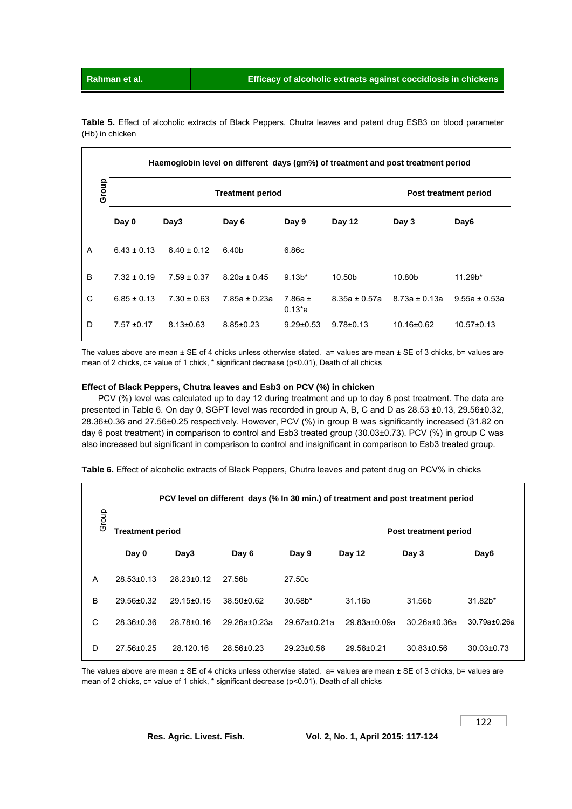|       |                 |                         | Haemoglobin level on different days (gm%) of treatment and post treatment period |                            |                    |                   |                   |
|-------|-----------------|-------------------------|----------------------------------------------------------------------------------|----------------------------|--------------------|-------------------|-------------------|
| Group |                 | <b>Treatment period</b> | Post treatment period                                                            |                            |                    |                   |                   |
|       | Day 0           | Day3                    | Day 6                                                                            | Day 9                      | Day 12             | Day 3             | Day <sub>6</sub>  |
| A     | $6.43 + 0.13$   | $6.40 \pm 0.12$         | 6.40b                                                                            | 6.86c                      |                    |                   |                   |
| B     | $7.32 \pm 0.19$ | $7.59 \pm 0.37$         | $8.20a \pm 0.45$                                                                 | $9.13*$                    | 10.50 <sub>b</sub> | 10.80b            | $11.29b*$         |
| C     | $6.85 \pm 0.13$ | $7.30 \pm 0.63$         | $7.85a \pm 0.23a$                                                                | $7.86a \pm$<br>$0.13^{*}a$ | $8.35a \pm 0.57a$  | $8.73a \pm 0.13a$ | $9.55a \pm 0.53a$ |
| D     | $7.57 \pm 0.17$ | $8.13 \pm 0.63$         | $8.85 \pm 0.23$                                                                  | $9.29 \pm 0.53$            | $9.78 \pm 0.13$    | 10.16±0.62        | $10.57 \pm 0.13$  |

**Table 5.** Effect of alcoholic extracts of Black Peppers, Chutra leaves and patent drug ESB3 on blood parameter (Hb) in chicken

The values above are mean  $\pm$  SE of 4 chicks unless otherwise stated. a= values are mean  $\pm$  SE of 3 chicks, b= values are mean of 2 chicks, c= value of 1 chick, \* significant decrease (p<0.01), Death of all chicks

## **Effect of Black Peppers, Chutra leaves and Esb3 on PCV (%) in chicken**

 PCV (%) level was calculated up to day 12 during treatment and up to day 6 post treatment. The data are presented in Table 6. On day 0, SGPT level was recorded in group A, B, C and D as 28.53 ±0.13, 29.56±0.32, 28.36±0.36 and 27.56±0.25 respectively. However, PCV (%) in group B was significantly increased (31.82 on day 6 post treatment) in comparison to control and Esb3 treated group (30.03±0.73). PCV (%) in group C was also increased but significant in comparison to control and insignificant in comparison to Esb3 treated group.

|       |                         |                  |                    |                  |                       | PCV level on different days (% In 30 min.) of treatment and post treatment period |                  |  |
|-------|-------------------------|------------------|--------------------|------------------|-----------------------|-----------------------------------------------------------------------------------|------------------|--|
| Group | <b>Treatment period</b> |                  |                    |                  | Post treatment period |                                                                                   |                  |  |
|       | Day 0                   | Day3             | Day 6              | Day 9            | Day 12                | Day 3                                                                             | Day <sub>6</sub> |  |
| A     | $28.53 \pm 0.13$        | $28.23 \pm 0.12$ | 27.56b             | 27.50c           |                       |                                                                                   |                  |  |
| B     | 29.56±0.32              | $29.15 \pm 0.15$ | $38.50 \pm 0.62$   | $30.58b*$        | 31.16b                | 31.56b                                                                            | $31.82b*$        |  |
| C     | 28.36±0.36              | $28.78 \pm 0.16$ | $29.26a \pm 0.23a$ | $29.67a + 0.21a$ | $29.83a + 0.09a$      | $30.26a + 0.36a$                                                                  | 30.79a±0.26a     |  |
| D     | $27.56 + 0.25$          | 28.120.16        | 28.56±0.23         | $29.23 \pm 0.56$ | $29.56 \pm 0.21$      | $30.83 \pm 0.56$                                                                  | $30.03 \pm 0.73$ |  |

**Table 6.** Effect of alcoholic extracts of Black Peppers, Chutra leaves and patent drug on PCV% in chicks

The values above are mean  $\pm$  SE of 4 chicks unless otherwise stated. a= values are mean  $\pm$  SE of 3 chicks, b= values are mean of 2 chicks, c= value of 1 chick, \* significant decrease (p<0.01), Death of all chicks

122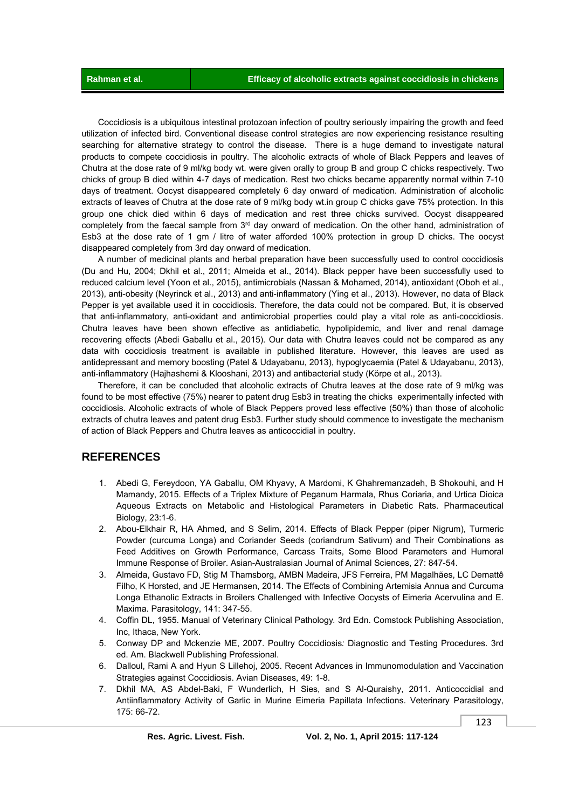Coccidiosis is a ubiquitous intestinal protozoan infection of poultry seriously impairing the growth and feed utilization of infected bird. Conventional disease control strategies are now experiencing resistance resulting searching for alternative strategy to control the disease. There is a huge demand to investigate natural products to compete coccidiosis in poultry. The alcoholic extracts of whole of Black Peppers and leaves of Chutra at the dose rate of 9 ml/kg body wt. were given orally to group B and group C chicks respectively. Two chicks of group B died within 4-7 days of medication. Rest two chicks became apparently normal within 7-10 days of treatment. Oocyst disappeared completely 6 day onward of medication. Administration of alcoholic extracts of leaves of Chutra at the dose rate of 9 ml/kg body wt.in group C chicks gave 75% protection. In this group one chick died within 6 days of medication and rest three chicks survived. Oocyst disappeared completely from the faecal sample from 3<sup>rd</sup> day onward of medication. On the other hand, administration of Esb3 at the dose rate of 1 gm / litre of water afforded 100% protection in group D chicks. The oocyst disappeared completely from 3rd day onward of medication.

 A number of medicinal plants and herbal preparation have been successfully used to control coccidiosis (Du and Hu, 2004; Dkhil et al., 2011; Almeida et al., 2014). Black pepper have been successfully used to reduced calcium level (Yoon et al., 2015), antimicrobials (Nassan & Mohamed, 2014), antioxidant (Oboh et al., 2013), anti-obesity (Neyrinck et al., 2013) and anti-inflammatory (Ying et al., 2013). However, no data of Black Pepper is yet available used it in coccidiosis. Therefore, the data could not be compared. But, it is observed that anti-inflammatory, anti-oxidant and antimicrobial properties could play a vital role as anti-coccidiosis. Chutra leaves have been shown effective as antidiabetic, hypolipidemic, and liver and renal damage recovering effects (Abedi Gaballu et al., 2015). Our data with Chutra leaves could not be compared as any data with coccidiosis treatment is available in published literature. However, this leaves are used as antidepressant and memory boosting (Patel & Udayabanu, 2013), hypoglycaemia (Patel & Udayabanu, 2013), anti-inflammatory (Hajhashemi & Klooshani, 2013) and antibacterial study (Körpe et al., 2013).

 Therefore, it can be concluded that alcoholic extracts of Chutra leaves at the dose rate of 9 ml/kg was found to be most effective (75%) nearer to patent drug Esb3 in treating the chicks experimentally infected with coccidiosis. Alcoholic extracts of whole of Black Peppers proved less effective (50%) than those of alcoholic extracts of chutra leaves and patent drug Esb3. Further study should commence to investigate the mechanism of action of Black Peppers and Chutra leaves as anticoccidial in poultry.

## **REFERENCES**

- 1. Abedi G, Fereydoon, YA Gaballu, OM Khyavy, A Mardomi, K Ghahremanzadeh, B Shokouhi, and H Mamandy, 2015. Effects of a Triplex Mixture of Peganum Harmala, Rhus Coriaria, and Urtica Dioica Aqueous Extracts on Metabolic and Histological Parameters in Diabetic Rats. Pharmaceutical Biology, 23:1-6.
- 2. Abou-Elkhair R, HA Ahmed, and S Selim, 2014. Effects of Black Pepper (piper Nigrum), Turmeric Powder (curcuma Longa) and Coriander Seeds (coriandrum Sativum) and Their Combinations as Feed Additives on Growth Performance, Carcass Traits, Some Blood Parameters and Humoral Immune Response of Broiler. Asian-Australasian Journal of Animal Sciences, 27: 847-54.
- 3. Almeida, Gustavo FD, Stig M Thamsborg, AMBN Madeira, JFS Ferreira, PM Magalhães, LC Demattê Filho, K Horsted, and JE Hermansen, 2014. The Effects of Combining Artemisia Annua and Curcuma Longa Ethanolic Extracts in Broilers Challenged with Infective Oocysts of Eimeria Acervulina and E. Maxima. Parasitology, 141: 347-55.
- 4. Coffin DL, 1955. Manual of Veterinary Clinical Pathology*.* 3rd Edn. Comstock Publishing Association, Inc, Ithaca, New York.
- 5. Conway DP and Mckenzie ME, 2007. Poultry Coccidiosis*:* Diagnostic and Testing Procedures. 3rd ed. Am. Blackwell Publishing Professional.
- 6. Dalloul, Rami A and Hyun S Lillehoj, 2005. Recent Advances in Immunomodulation and Vaccination Strategies against Coccidiosis. Avian Diseases, 49: 1-8.
- 7. Dkhil MA, AS Abdel-Baki, F Wunderlich, H Sies, and S Al-Quraishy, 2011. Anticoccidial and Antiinflammatory Activity of Garlic in Murine Eimeria Papillata Infections. Veterinary Parasitology, 175: 66-72.

123